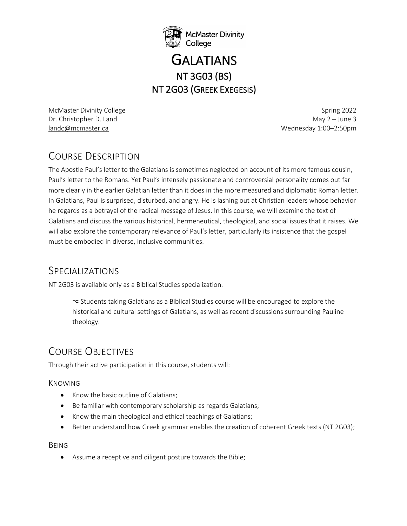

# GALATIANS<br>NT 3G03 (BS) NT 2G03 (GREEK EXEGESIS)

McMaster Divinity College Spring 2022 Dr. Christopher D. Land May 2 – June 3 landc@mcmaster.ca Wednesday 1:00–2:50pm

# COURSE DESCRIPTION

The Apostle Paul's letter to the Galatians is sometimes neglected on account of its more famous cousin, Paul's letter to the Romans. Yet Paul's intensely passionate and controversial personality comes out far more clearly in the earlier Galatian letter than it does in the more measured and diplomatic Roman letter. In Galatians, Paul is surprised, disturbed, and angry. He is lashing out at Christian leaders whose behavior he regards as a betrayal of the radical message of Jesus. In this course, we will examine the text of Galatians and discuss the various historical, hermeneutical, theological, and social issues that it raises. We will also explore the contemporary relevance of Paul's letter, particularly its insistence that the gospel must be embodied in diverse, inclusive communities.

# SPECIALIZATIONS

NT 2G03 is available only as a Biblical Studies specialization.

 $\sim$  Students taking Galatians as a Biblical Studies course will be encouraged to explore the historical and cultural settings of Galatians, as well as recent discussions surrounding Pauline theology.

# COURSE OBJECTIVES

Through their active participation in this course, students will:

#### KNOWING

- Know the basic outline of Galatians;
- Be familiar with contemporary scholarship as regards Galatians;
- Know the main theological and ethical teachings of Galatians;
- Better understand how Greek grammar enables the creation of coherent Greek texts (NT 2G03);

#### BEING

• Assume a receptive and diligent posture towards the Bible;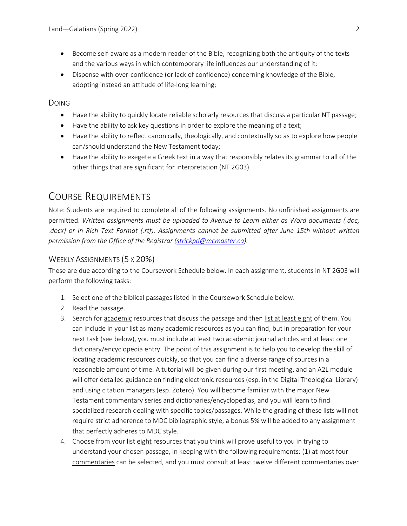- Become self-aware as a modern reader of the Bible, recognizing both the antiquity of the texts and the various ways in which contemporary life influences our understanding of it;
- Dispense with over-confidence (or lack of confidence) concerning knowledge of the Bible, adopting instead an attitude of life-long learning;

DOING

- Have the ability to quickly locate reliable scholarly resources that discuss a particular NT passage;
- Have the ability to ask key questions in order to explore the meaning of a text;
- Have the ability to reflect canonically, theologically, and contextually so as to explore how people can/should understand the New Testament today;
- Have the ability to exegete a Greek text in a way that responsibly relates its grammar to all of the other things that are significant for interpretation (NT 2G03).

# COURSE REQUIREMENTS

Note: Students are required to complete all of the following assignments. No unfinished assignments are permitted. *Written assignments must be uploaded to Avenue to Learn either as Word documents (.doc, .docx) or in Rich Text Format (.rtf). Assignments cannot be submitted after June 15th without written permission from the Office of the Registrar (strickpd@mcmaster.ca).*

#### WEEKLY ASSIGNMENTS (5 x 20%)

These are due according to the Coursework Schedule below. In each assignment, students in NT 2G03 will perform the following tasks:

- 1. Select one of the biblical passages listed in the Coursework Schedule below.
- 2. Read the passage.
- 3. Search for academic resources that discuss the passage and then list at least eight of them. You can include in your list as many academic resources as you can find, but in preparation for your next task (see below), you must include at least two academic journal articles and at least one dictionary/encyclopedia entry. The point of this assignment is to help you to develop the skill of locating academic resources quickly, so that you can find a diverse range of sources in a reasonable amount of time. A tutorial will be given during our first meeting, and an A2L module will offer detailed guidance on finding electronic resources (esp. in the Digital Theological Library) and using citation managers (esp. Zotero). You will become familiar with the major New Testament commentary series and dictionaries/encyclopedias, and you will learn to find specialized research dealing with specific topics/passages. While the grading of these lists will not require strict adherence to MDC bibliographic style, a bonus 5% will be added to any assignment that perfectly adheres to MDC style.
- 4. Choose from your list eight resources that you think will prove useful to you in trying to understand your chosen passage, in keeping with the following requirements: (1) at most four commentaries can be selected, and you must consult at least twelve different commentaries over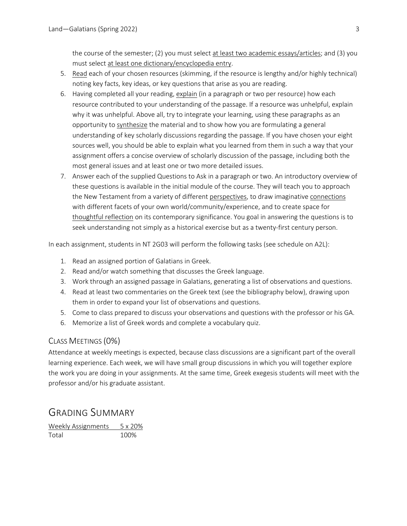the course of the semester; (2) you must select at least two academic essays/articles; and (3) you must select at least one dictionary/encyclopedia entry.

- 5. Read each of your chosen resources (skimming, if the resource is lengthy and/or highly technical) noting key facts, key ideas, or key questions that arise as you are reading.
- 6. Having completed all your reading, explain (in a paragraph or two per resource) how each resource contributed to your understanding of the passage. If a resource was unhelpful, explain why it was unhelpful. Above all, try to integrate your learning, using these paragraphs as an opportunity to synthesize the material and to show how you are formulating a general understanding of key scholarly discussions regarding the passage. If you have chosen your eight sources well, you should be able to explain what you learned from them in such a way that your assignment offers a concise overview of scholarly discussion of the passage, including both the most general issues and at least one or two more detailed issues.
- 7. Answer each of the supplied Questions to Ask in a paragraph or two. An introductory overview of these questions is available in the initial module of the course. They will teach you to approach the New Testament from a variety of different perspectives, to draw imaginative connections with different facets of your own world/community/experience, and to create space for thoughtful reflection on its contemporary significance. You goal in answering the questions is to seek understanding not simply as a historical exercise but as a twenty-first century person.

In each assignment, students in NT 2G03 will perform the following tasks (see schedule on A2L):

- 1. Read an assigned portion of Galatians in Greek.
- 2. Read and/or watch something that discusses the Greek language.
- 3. Work through an assigned passage in Galatians, generating a list of observations and questions.
- 4. Read at least two commentaries on the Greek text (see the bibliography below), drawing upon them in order to expand your list of observations and questions.
- 5. Come to class prepared to discuss your observations and questions with the professor or his GA.
- 6. Memorize a list of Greek words and complete a vocabulary quiz.

#### CLASS MEETINGS (0%)

Attendance at weekly meetings is expected, because class discussions are a significant part of the overall learning experience. Each week, we will have small group discussions in which you will together explore the work you are doing in your assignments. At the same time, Greek exegesis students will meet with the professor and/or his graduate assistant.

#### GRADING SUMMARY

Weekly Assignments 5 x 20% Total 100%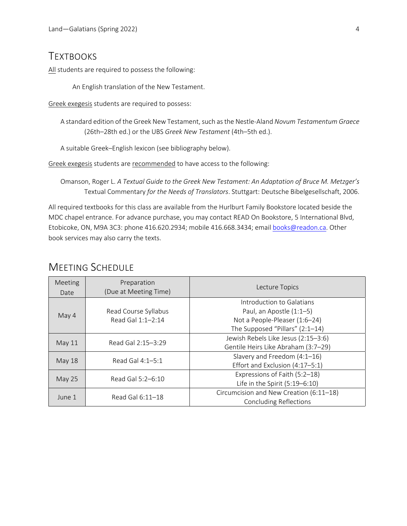# **TEXTBOOKS**

All students are required to possess the following:

An English translation of the New Testament.

Greek exegesis students are required to possess:

A standard edition of the Greek New Testament, such as the Nestle-Aland *Novum Testamentum Graece* (26th–28th ed.) or the UBS *Greek New Testament* (4th–5th ed.).

A suitable Greek–English lexicon (see bibliography below).

Greek exegesis students are recommended to have access to the following:

Omanson, Roger L. *A Textual Guide to the Greek New Testament: An Adaptation of Bruce M. Metzger's*  Textual Commentary *for the Needs of Translators*. Stuttgart: Deutsche Bibelgesellschaft, 2006.

All required textbooks for this class are available from the Hurlburt Family Bookstore located beside the MDC chapel entrance. For advance purchase, you may contact READ On Bookstore, 5 International Blvd, Etobicoke, ON, M9A 3C3: phone 416.620.2934; mobile 416.668.3434; email books@readon.ca. Other book services may also carry the texts.

### MEETING SCHEDULE

| Meeting<br>Date | Preparation<br>(Due at Meeting Time)      | Lecture Topics                                                                                                            |  |
|-----------------|-------------------------------------------|---------------------------------------------------------------------------------------------------------------------------|--|
| May 4           | Read Course Syllabus<br>Read Gal 1:1-2:14 | Introduction to Galatians<br>Paul, an Apostle (1:1-5)<br>Not a People-Pleaser (1:6-24)<br>The Supposed "Pillars" (2:1-14) |  |
| May 11          | Read Gal 2:15-3:29                        | Jewish Rebels Like Jesus (2:15-3:6)<br>Gentile Heirs Like Abraham (3:7-29)                                                |  |
| <b>May 18</b>   | Read Gal 4:1-5:1                          | Slavery and Freedom (4:1-16)<br>Effort and Exclusion (4:17-5:1)                                                           |  |
| <b>May 25</b>   | Read Gal 5:2-6:10                         | Expressions of Faith (5:2-18)<br>Life in the Spirit (5:19-6:10)                                                           |  |
| June 1          | Read Gal 6:11-18                          | Circumcision and New Creation (6:11-18)<br><b>Concluding Reflections</b>                                                  |  |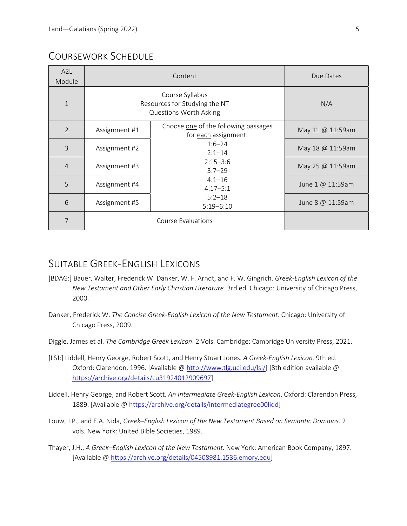# COURSEWORK SCHEDULE

| A <sub>2</sub> L<br>Module | Content            |                                                                                   | Due Dates        |
|----------------------------|--------------------|-----------------------------------------------------------------------------------|------------------|
| $\mathbf{1}$               |                    | Course Syllabus<br>Resources for Studying the NT<br><b>Questions Worth Asking</b> | N/A              |
| $\overline{2}$             | Assignment #1      | Choose one of the following passages<br>for each assignment:                      | May 11 @ 11:59am |
| 3                          | Assignment #2      | $1:6 - 24$<br>$2:1-14$<br>$2:15 - 3:6$<br>$3:7-29$<br>$4:1 - 16$<br>$4:17 - 5:1$  | May 18 @ 11:59am |
| $\overline{4}$             | Assignment #3      |                                                                                   | May 25 @ 11:59am |
| 5                          | Assignment #4      |                                                                                   | June 1 @ 11:59am |
| 6                          | Assignment #5      | $5:2-18$<br>$5:19 - 6:10$                                                         | June 8 @ 11:59am |
| 7                          | Course Evaluations |                                                                                   |                  |

# SUITABLE GREEK-ENGLISH LEXICONS

- [BDAG:] Bauer, Walter, Frederick W. Danker, W. F. Arndt, and F. W. Gingrich. *Greek-English Lexicon of the New Testament and Other Early Christian Literature.* 3rd ed. Chicago: University of Chicago Press, 2000.
- Danker, Frederick W. *The Concise Greek-English Lexicon of the New Testament*. Chicago: University of Chicago Press, 2009.
- Diggle, James et al. *The Cambridge Greek Lexicon*. 2 Vols. Cambridge: Cambridge University Press, 2021.
- [LSJ:] Liddell, Henry George, Robert Scott, and Henry Stuart Jones. *A Greek-English Lexicon.* 9th ed. Oxford: Clarendon, 1996. [Available @ http://www.tlg.uci.edu/lsj/] [8th edition available @ https://archive.org/details/cu31924012909697]
- Liddell, Henry George, and Robert Scott. *An Intermediate Greek-English Lexicon*. Oxford: Clarendon Press, 1889. [Available @ https://archive.org/details/intermediategree00lidd]
- Louw, J.P., and E.A. Nida, *Greek–English Lexicon of the New Testament Based on Semantic Domains.* 2 vols. New York: United Bible Societies, 1989.
- Thayer, J.H., *A Greek–English Lexicon of the New Testament.* New York: American Book Company, 1897. [Available @ https://archive.org/details/04508981.1536.emory.edu]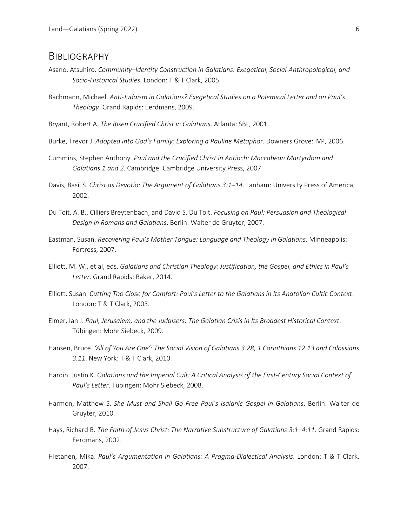#### **BIBLIOGRAPHY**

- Asano, Atsuhiro. *Community–Identity Construction in Galatians: Exegetical, Social-Anthropological, and Socio-Historical Studies*. London: T & T Clark, 2005.
- Bachmann, Michael. *Anti-Judaism in Galatians? Exegetical Studies on a Polemical Letter and on Paul's Theology*. Grand Rapids: Eerdmans, 2009.
- Bryant, Robert A. *The Risen Crucified Christ in Galatians*. Atlanta: SBL, 2001.
- Burke, Trevor J. *Adopted into God's Family: Exploring a Pauline Metaphor*. Downers Grove: IVP, 2006.
- Cummins, Stephen Anthony. *Paul and the Crucified Christ in Antioch: Maccabean Martyrdom and Galatians 1 and 2*. Cambridge: Cambridge University Press, 2007.
- Davis, Basil S. *Christ as Devotio: The Argument of Galatians 3:1–14*. Lanham: University Press of America, 2002.
- Du Toit, A. B., Cilliers Breytenbach, and David S. Du Toit. *Focusing on Paul: Persuasion and Theological Design in Romans and Galatians*. Berlin: Walter de Gruyter, 2007.
- Eastman, Susan. *Recovering Paul's Mother Tongue: Language and Theology in Galatians*. Minneapolis: Fortress, 2007.
- Elliott, M. W., et al, eds. *Galatians and Christian Theology: Justification, the Gospel, and Ethics in Paul's Letter*. Grand Rapids: Baker, 2014.
- Elliott, Susan. *Cutting Too Close for Comfort: Paul's Letter to the Galatians in Its Anatolian Cultic Context*. London: T & T Clark, 2003.
- Elmer, Ian J. *Paul, Jerusalem, and the Judaisers: The Galatian Crisis in Its Broadest Historical Context*. Tübingen: Mohr Siebeck, 2009.
- Hansen, Bruce. *'All of You Are One': The Social Vision of Galatians 3.28, 1 Corinthians 12.13 and Colossians 3.11*. New York: T & T Clark, 2010.
- Hardin, Justin K. *Galatians and the Imperial Cult: A Critical Analysis of the First-Century Social Context of Paul's Letter*. Tübingen: Mohr Siebeck, 2008.
- Harmon, Matthew S. *She Must and Shall Go Free Paul's Isaianic Gospel in Galatians*. Berlin: Walter de Gruyter, 2010.
- Hays, Richard B. *The Faith of Jesus Christ: The Narrative Substructure of Galatians 3:1–4:11*. Grand Rapids: Eerdmans, 2002.
- Hietanen, Mika. *Paul's Argumentation in Galatians: A Pragma-Dialectical Analysis*. London: T & T Clark, 2007.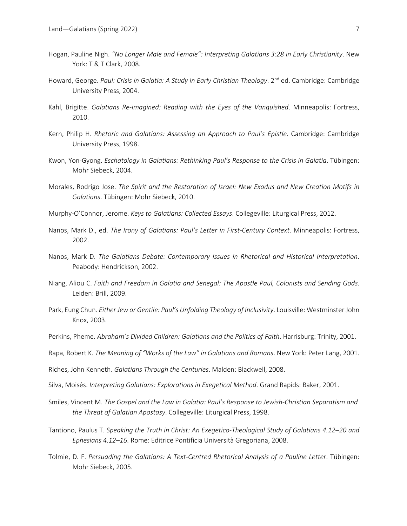- Hogan, Pauline Nigh. *"No Longer Male and Female": Interpreting Galatians 3:28 in Early Christianity*. New York: T & T Clark, 2008.
- Howard, George. Paul: Crisis in Galatia: A Study in Early Christian Theology. 2<sup>nd</sup> ed. Cambridge: Cambridge University Press, 2004.
- Kahl, Brigitte. *Galatians Re-imagined: Reading with the Eyes of the Vanquished*. Minneapolis: Fortress, 2010.
- Kern, Philip H. *Rhetoric and Galatians: Assessing an Approach to Paul's Epistle*. Cambridge: Cambridge University Press, 1998.
- Kwon, Yon-Gyong. *Eschatology in Galatians: Rethinking Paul's Response to the Crisis in Galatia*. Tübingen: Mohr Siebeck, 2004.
- Morales, Rodrigo Jose. *The Spirit and the Restoration of Israel: New Exodus and New Creation Motifs in Galatians*. Tübingen: Mohr Siebeck, 2010.
- Murphy-O'Connor, Jerome. *Keys to Galatians: Collected Essays*. Collegeville: Liturgical Press, 2012.
- Nanos, Mark D., ed. *The Irony of Galatians: Paul's Letter in First-Century Context*. Minneapolis: Fortress, 2002.
- Nanos, Mark D. *The Galatians Debate: Contemporary Issues in Rhetorical and Historical Interpretation*. Peabody: Hendrickson, 2002.
- Niang, Aliou C. *Faith and Freedom in Galatia and Senegal: The Apostle Paul, Colonists and Sending Gods*. Leiden: Brill, 2009.
- Park, Eung Chun. *Either Jew or Gentile: Paul's Unfolding Theology of Inclusivity*. Louisville: Westminster John Knox, 2003.
- Perkins, Pheme. *Abraham's Divided Children: Galatians and the Politics of Faith*. Harrisburg: Trinity, 2001.
- Rapa, Robert K. *The Meaning of "Works of the Law" in Galatians and Romans*. New York: Peter Lang, 2001.
- Riches, John Kenneth. *Galatians Through the Centuries*. Malden: Blackwell, 2008.
- Silva, Moisés. *Interpreting Galatians: Explorations in Exegetical Method*. Grand Rapids: Baker, 2001.
- Smiles, Vincent M. *The Gospel and the Law in Galatia: Paul's Response to Jewish-Christian Separatism and the Threat of Galatian Apostasy*. Collegeville: Liturgical Press, 1998.
- Tantiono, Paulus T. *Speaking the Truth in Christ: An Exegetico-Theological Study of Galatians 4.12–20 and Ephesians 4.12–16*. Rome: Editrice Pontificia Università Gregoriana, 2008.
- Tolmie, D. F. *Persuading the Galatians: A Text-Centred Rhetorical Analysis of a Pauline Letter*. Tübingen: Mohr Siebeck, 2005.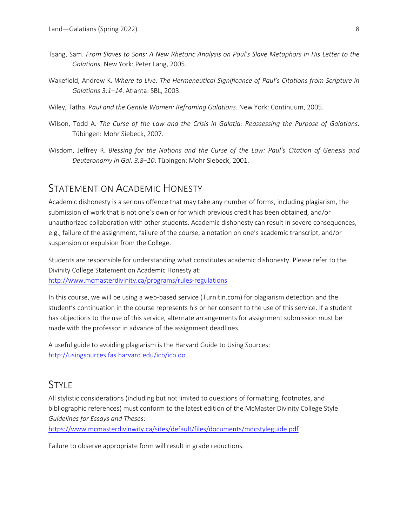- Tsang, Sam. *From Slaves to Sons: A New Rhetoric Analysis on Paul's Slave Metaphors in His Letter to the Galatians*. New York: Peter Lang, 2005.
- Wakefield, Andrew K. *Where to Live: The Hermeneutical Significance of Paul's Citations from Scripture in Galatians 3:1–14*. Atlanta: SBL, 2003.
- Wiley, Tatha. *Paul and the Gentile Women: Reframing Galatians*. New York: Continuum, 2005.
- Wilson, Todd A. *The Curse of the Law and the Crisis in Galatia: Reassessing the Purpose of Galatians*. Tübingen: Mohr Siebeck, 2007.
- Wisdom, Jeffrey R. *Blessing for the Nations and the Curse of the Law: Paul's Citation of Genesis and Deuteronomy in Gal. 3.8–10*. Tübingen: Mohr Siebeck, 2001.

# STATEMENT ON ACADEMIC HONESTY

Academic dishonesty is a serious offence that may take any number of forms, including plagiarism, the submission of work that is not one's own or for which previous credit has been obtained, and/or unauthorized collaboration with other students. Academic dishonesty can result in severe consequences, e.g., failure of the assignment, failure of the course, a notation on one's academic transcript, and/or suspension or expulsion from the College.

Students are responsible for understanding what constitutes academic dishonesty. Please refer to the Divinity College Statement on Academic Honesty at:

http://www.mcmasterdivinity.ca/programs/rules-regulations

In this course, we will be using a web-based service (Turnitin.com) for plagiarism detection and the student's continuation in the course represents his or her consent to the use of this service. If a student has objections to the use of this service, alternate arrangements for assignment submission must be made with the professor in advance of the assignment deadlines.

A useful guide to avoiding plagiarism is the Harvard Guide to Using Sources: http://usingsources.fas.harvard.edu/icb/icb.do

## STYLE

All stylistic considerations (including but not limited to questions of formatting, footnotes, and bibliographic references) must conform to the latest edition of the McMaster Divinity College Style *Guidelines for Essays and Theses*:

https://www.mcmasterdivinwity.ca/sites/default/files/documents/mdcstyleguide.pdf

Failure to observe appropriate form will result in grade reductions.